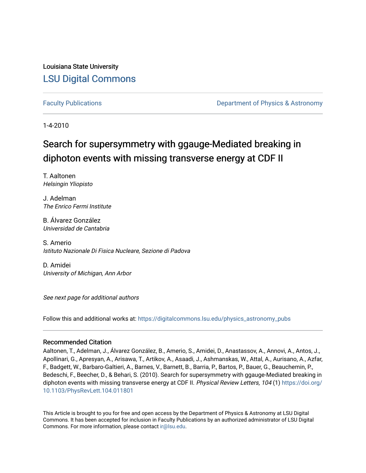Louisiana State University [LSU Digital Commons](https://digitalcommons.lsu.edu/)

[Faculty Publications](https://digitalcommons.lsu.edu/physics_astronomy_pubs) **Example 2** Constant Department of Physics & Astronomy

1-4-2010

## Search for supersymmetry with ggauge-Mediated breaking in diphoton events with missing transverse energy at CDF II

T. Aaltonen Helsingin Yliopisto

J. Adelman The Enrico Fermi Institute

B. Álvarez González Universidad de Cantabria

S. Amerio Istituto Nazionale Di Fisica Nucleare, Sezione di Padova

D. Amidei University of Michigan, Ann Arbor

See next page for additional authors

Follow this and additional works at: [https://digitalcommons.lsu.edu/physics\\_astronomy\\_pubs](https://digitalcommons.lsu.edu/physics_astronomy_pubs?utm_source=digitalcommons.lsu.edu%2Fphysics_astronomy_pubs%2F2421&utm_medium=PDF&utm_campaign=PDFCoverPages) 

#### Recommended Citation

Aaltonen, T., Adelman, J., Álvarez González, B., Amerio, S., Amidei, D., Anastassov, A., Annovi, A., Antos, J., Apollinari, G., Apresyan, A., Arisawa, T., Artikov, A., Asaadi, J., Ashmanskas, W., Attal, A., Aurisano, A., Azfar, F., Badgett, W., Barbaro-Galtieri, A., Barnes, V., Barnett, B., Barria, P., Bartos, P., Bauer, G., Beauchemin, P., Bedeschi, F., Beecher, D., & Behari, S. (2010). Search for supersymmetry with ggauge-Mediated breaking in diphoton events with missing transverse energy at CDF II. Physical Review Letters, 104 (1) [https://doi.org/](https://doi.org/10.1103/PhysRevLett.104.011801) [10.1103/PhysRevLett.104.011801](https://doi.org/10.1103/PhysRevLett.104.011801)

This Article is brought to you for free and open access by the Department of Physics & Astronomy at LSU Digital Commons. It has been accepted for inclusion in Faculty Publications by an authorized administrator of LSU Digital Commons. For more information, please contact [ir@lsu.edu](mailto:ir@lsu.edu).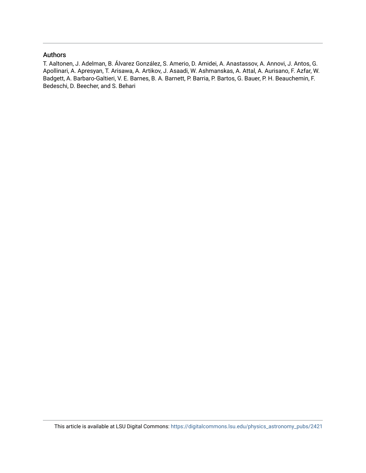### Authors

T. Aaltonen, J. Adelman, B. Álvarez González, S. Amerio, D. Amidei, A. Anastassov, A. Annovi, J. Antos, G. Apollinari, A. Apresyan, T. Arisawa, A. Artikov, J. Asaadi, W. Ashmanskas, A. Attal, A. Aurisano, F. Azfar, W. Badgett, A. Barbaro-Galtieri, V. E. Barnes, B. A. Barnett, P. Barria, P. Bartos, G. Bauer, P. H. Beauchemin, F. Bedeschi, D. Beecher, and S. Behari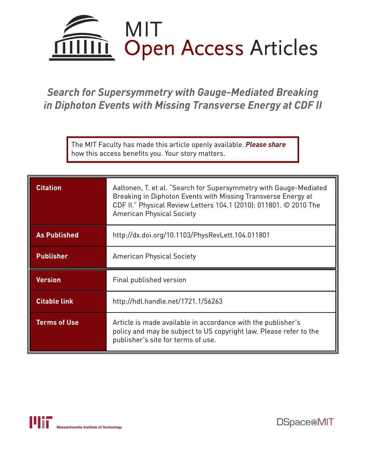

# *Search for Supersymmetry with Gauge-Mediated Breaking in Diphoton Events with Missing Transverse Energy at CDF II*

The MIT Faculty has made this article openly available. *[Please](https://libraries.mit.edu/forms/dspace-oa-articles.html) share* how this access benefits you. Your story matters.

| <b>Citation</b>     | Aaltonen, T. et al. "Search for Supersymmetry with Gauge-Mediated<br>Breaking in Diphoton Events with Missing Transverse Energy at<br>CDF II." Physical Review Letters 104.1 (2010): 011801. © 2010 The<br><b>American Physical Society</b> |
|---------------------|---------------------------------------------------------------------------------------------------------------------------------------------------------------------------------------------------------------------------------------------|
| <b>As Published</b> | http://dx.doi.org/10.1103/PhysRevLett.104.011801                                                                                                                                                                                            |
| <b>Publisher</b>    | <b>American Physical Society</b>                                                                                                                                                                                                            |
| <b>Version</b>      | Final published version                                                                                                                                                                                                                     |
| <b>Citable link</b> | http://hdl.handle.net/1721.1/56263                                                                                                                                                                                                          |
| <b>Terms of Use</b> | Article is made available in accordance with the publisher's<br>policy and may be subject to US copyright law. Please refer to the<br>publisher's site for terms of use.                                                                    |



DSpace@MIT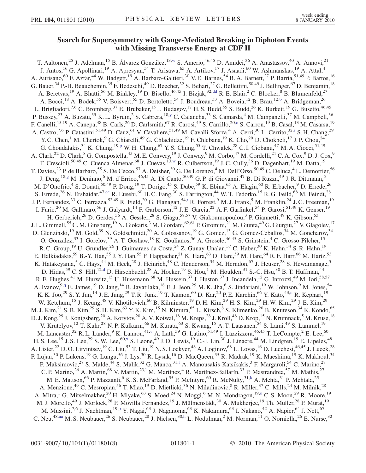### Search for Supersymmetry with Gauge-Mediated Breaking in Diphoton Events with Missing Transverse Energy at CDF II

<span id="page-3-18"></span><span id="page-3-17"></span><span id="page-3-16"></span><span id="page-3-15"></span><span id="page-3-14"></span><span id="page-3-13"></span><span id="page-3-12"></span><span id="page-3-11"></span><span id="page-3-10"></span><span id="page-3-9"></span><span id="page-3-8"></span><span id="page-3-7"></span><span id="page-3-6"></span><span id="page-3-5"></span><span id="page-3-4"></span><span id="page-3-3"></span><span id="page-3-2"></span><span id="page-3-1"></span><span id="page-3-0"></span>T. Aaltonen,<sup>25</sup> J. Adelman,<sup>15</sup> B. Álvarez González,<sup>13,[w](#page-9-0)</sup> S. Amerio,<sup>46,45</sup> D. Amidei,<sup>36</sup> A. Anastassov,<sup>40</sup> A. Annovi,<sup>21</sup> J. Antos,<sup>16</sup> G. Apollinari,<sup>19</sup> A. Apresyan,<sup>54</sup> T. Arisawa,<sup>65</sup> A. Artikov,<sup>17</sup> J. Asaadi,<sup>60</sup> W. Ashmanskas,<sup>19</sup> A. Attal,<sup>4</sup> A. Aurisano,<sup>60</sup> F. Azfar,<sup>44</sup> W. Badgett,<sup>19</sup> A. Barbaro-Galtieri,<sup>30</sup> V. E. Barnes,<sup>54</sup> B. A. Barnett,<sup>27</sup> P. Barria,<sup>51,49</sup> P. Bartos,<sup>16</sup> G. Bauer,  $34$  P.-H. Beauchemin,  $35$  F. Bedeschi,  $49$  D. Beecher,  $32$  S. Behari,  $27$  G. Bellettini,  $50,49$  J. Bellinger,  $67$  D. Benjamin,  $18$ A. Beretvas,<sup>19</sup> A. Bhatti,<sup>56</sup> M. Binkley,<sup>19</sup> D. Bisello,<sup>46,45</sup> I. Bizjak,<sup>32,[dd](#page-9-1)</sup> R. E. Blair,<sup>2</sup> C. Blocker,<sup>8</sup> B. Blumenfeld,<sup>27</sup> A. Bocci,<sup>18</sup> A. Bodek,<sup>55</sup> V. Boisvert,<sup>55</sup> D. Bortoletto,<sup>54</sup> J. Boudreau,<sup>53</sup> A. Boveia,<sup>12</sup> B. Brau,<sup>12,[b](#page-9-2)</sup> A. Bridgeman,<sup>26</sup> L. Brigliadori,<sup>7,6</sup> C. Bromberg,<sup>37</sup> E. Brubaker,<sup>15</sup> J. Budagov,<sup>17</sup> H. S. Budd,<sup>55</sup> S. Budd,<sup>26</sup> K. Burkett,<sup>19</sup> G. Busetto,<sup>46,45</sup> P. Busse[y](#page-9-3),<sup>23</sup> A. Buzatu,<sup>35</sup> K. L. Byrum,<sup>2</sup> S. Cabrera,<sup>18,y</sup> C. Calancha,<sup>33</sup> S. Camarda,<sup>4</sup> M. Campanelli,<sup>37</sup> M. Campbell,<sup>36</sup> F. Canelli,<sup>15,19</sup> A. Canepa,<sup>48</sup> B. Carls,<sup>26</sup> D. Carlsmith,<sup>67</sup> R. Car[o](#page-9-4)si,<sup>49</sup> S. Carrillo,<sup>20,0</sup> S. Carron,<sup>19</sup> B. Casal,<sup>13</sup> M. Casarsa,<sup>19</sup> A. Cast[r](#page-9-5)o,<sup>7,6</sup> P. Catastini,<sup>51,49</sup> D. Cauz,<sup>61</sup> V. Cavaliere,<sup>51,49</sup> M. Cavalli-Sforza,<sup>4</sup> A. Cerri,<sup>30</sup> L. Cerrito,<sup>32,r</sup> S. H. Chang,<sup>29</sup> Y. C. Chen,<sup>1</sup> M. Chertok,<sup>9</sup> G. Chiarelli,<sup>49</sup> G. Chlachidze,<sup>19</sup> F. Chlebana,<sup>19</sup> K. Cho,<sup>29</sup> D. Chokheli,<sup>17</sup> J. P. Chou,<sup>24</sup> G. Choudalakis,  $34$  K. Chung,  $19.$ p W. H. Chung,  $67$  Y. S. Chung,  $55$  T. Chwalek,  $28$  C. I. Ciobanu,  $47$  M. A. Ciocci,  $51.49$ A. Clark,<sup>22</sup> D. Clark,<sup>8</sup> G. Compostella,<sup>45</sup> M. E. Convery,<sup>19</sup> J. Conway,<sup>9</sup> M. Corbo,<sup>47</sup> M. Cordelli,<sup>21</sup> C. A. Cox,<sup>9</sup> D. J. Cox,<sup>9</sup> F. Crescioli,<sup>50,49</sup> C. Cuenca Almenar,<sup>68</sup> J. Cuevas,<sup>13,[w](#page-9-0)</sup> R. Culbertson,<sup>19</sup> J. C. Cully,<sup>36</sup> D. Dagenhart,<sup>19</sup> M. Datta,<sup>19</sup> T. Davies,<sup>23</sup> P. de Barbaro,<sup>55</sup> S. De Cecco,<sup>57</sup> A. Deisher,<sup>30</sup> G. De Lorenzo,<sup>4</sup> M. Dell'Orso,<sup>50,49</sup> C. Deluca,<sup>4</sup> L. Demortier,<sup>56</sup> J. Deng,<sup>18[,g](#page-9-7)</sup> M. Deninno,<sup>6</sup> M. d'Errico,<sup>46,45</sup> A. Di Canto,<sup>50,49</sup> G. P. di Giovanni,<sup>47</sup> B. Di Ruzza,<sup>49</sup> J. R. Dittmann,<sup>5</sup> M. D'Onofrio,<sup>4</sup> S. Donati,<sup>50,49</sup> P. Dong,<sup>19</sup> T. Dorigo,<sup>45</sup> S. Dube,<sup>59</sup> K. Ebina,<sup>65</sup> A. Elagin,<sup>60</sup> R. Erbacher,<sup>9</sup> D. Errede,<sup>26</sup> S. Errede,<sup>26</sup> N. Ershaidat,<sup>47[,cc](#page-9-8)</sup> R. Eusebi,<sup>60</sup> H. C. Fang,<sup>30</sup> S. Farrington,<sup>44</sup> W. T. Fedorko,<sup>15</sup> R. G. Feild,<sup>68</sup> M. Feindt,<sup>28</sup> J. P. Fernandez,<sup>33</sup> C. Ferrazza,<sup>52,49</sup> R. Field,<sup>20</sup> G. Flanagan,<sup>54,[t](#page-9-9)</sup> R. Forrest,<sup>9</sup> M. J. Frank,<sup>5</sup> M. Franklin,<sup>24</sup> J. C. Freeman,<sup>19</sup> I. Furic,<sup>20</sup> M. Gallinaro,<sup>56</sup> J. Galyardt,<sup>14</sup> F. Garberson,<sup>12</sup> J. E. Garcia,<sup>22</sup> A. F. Garfinkel,<sup>54</sup> P. Garosi,<sup>51,49</sup> K. Genser,<sup>19</sup> H. Gerberich,<sup>26</sup> D. Gerdes,<sup>36</sup> A. Gessler,<sup>28</sup> S. Giagu,<sup>58,57</sup> V. Giakoumopoulou,<sup>3</sup> P. Giannetti,<sup>49</sup> K. Gibson,<sup>53</sup> J. L. Gimmell,<sup>55</sup> C. M. Ginsburg,<sup>19</sup> N. Giokaris,<sup>3</sup> M. Giordani,<sup>62,61</sup> P. Giromini,<sup>21</sup> M. Giunta,<sup>49</sup> G. Giurgiu,<sup>27</sup> V. Glagolev,<sup>17</sup> D. Glenzinski,<sup>19</sup> M. Gold,<sup>39</sup> N. Goldschmidt,<sup>20</sup> A. Golossanov,<sup>19</sup> G. Gomez,<sup>13</sup> G. Gomez-Ceballos,<sup>34</sup> M. Goncharov,<sup>34</sup> O. González,<sup>33</sup> I. Gorelov,<sup>39</sup> A. T. Goshaw,<sup>18</sup> K. Goulianos,<sup>56</sup> A. Gresele,<sup>46,45</sup> S. Grinstein,<sup>4</sup> C. Grosso-Pilcher,<sup>15</sup> R. C. Group,<sup>19</sup> U. Grundler,<sup>26</sup> J. Guimaraes da Costa,<sup>24</sup> Z. Gunay-Unalan,<sup>37</sup> C. Haber,<sup>30</sup> K. Hahn,<sup>34</sup> S. R. Hahn,<sup>19</sup> E. Halkiadakis,<sup>59</sup> B.-Y. Han,<sup>55</sup> J. Y. Han,<sup>55</sup> F. Happacher,<sup>21</sup> K. Hara,<sup>63</sup> D. Hare,<sup>59</sup> M. Hare,<sup>64</sup> R. F. Harr,<sup>66</sup> M. Hartz,<sup>53</sup> K. Hatakeyama,<sup>5</sup> C. Hays,<sup>44</sup> M. Heck,<sup>28</sup> J. Heinrich,<sup>48</sup> C. Henderson,<sup>34</sup> M. Herndon,<sup>67</sup> J. Heuser,<sup>28</sup> S. Hewamanage,<sup>5</sup> D. Hidas,<sup>59</sup> C. S. Hill,<sup>12[,d](#page-9-10)</sup> D. Hirschbuehl,<sup>28</sup> A. Hocker,<sup>19</sup> S. Hou,<sup>1</sup> M. Houlden,<sup>31</sup> S.-C. Hsu,<sup>30</sup> B. T. Huffman,<sup>44</sup> R. E. Hughes,<sup>41</sup> M. Hurwitz,<sup>15</sup> U. Husemann,<sup>68</sup> M. Hussein,<sup>37</sup> J. Huston,<sup>37</sup> J. Incandela,<sup>12</sup> G. Introzzi,<sup>49</sup> M. Iori,<sup>58,57</sup> A. Ivanov, <sup>9,[q](#page-9-11)</sup> E. James, <sup>19</sup> D. Jang, <sup>14</sup> B. Jayatilaka, <sup>18</sup> E. J. Jeon, <sup>29</sup> M. K. Jha, <sup>6</sup> S. Jindariani, <sup>19</sup> W. Johnson, <sup>9</sup> M. Jones, <sup>54</sup> K. K. Joo,<sup>29</sup> S. Y. Ju[n](#page-9-12),<sup>14</sup> J. E. Jung,<sup>29</sup> T. R. Junk,<sup>19</sup> T. Kamon,<sup>60</sup> D. Kar,<sup>20</sup> P. E. Karchin,<sup>66</sup> Y. Kato,<sup>43,n</sup> R. Kephart,<sup>19</sup> W. Ketchum,<sup>15</sup> J. Keung,<sup>48</sup> V. Khotilovich,<sup>60</sup> B. Kilminster,<sup>19</sup> D. H. Kim,<sup>29</sup> H. S. Kim,<sup>29</sup> H. W. Kim,<sup>29</sup> J. E. Kim,<sup>29</sup> M. J. Kim,<sup>21</sup> S. B. Kim,<sup>29</sup> S. H. Kim,<sup>63</sup> Y. K. Kim,<sup>15</sup> N. Kimura,<sup>65</sup> L. Kirsch,<sup>8</sup> S. Klimenko,<sup>20</sup> B. Knuteson,<sup>34</sup> K. Kondo,<sup>65</sup> D. J. Kong,<sup>29</sup> J. Konigsberg,<sup>20</sup> A. Korytov,<sup>20</sup> A. V. Kotwal,<sup>18</sup> M. Kreps,<sup>28</sup> J. Kroll,<sup>48</sup> D. Krop,<sup>15</sup> N. Krumnack,<sup>5</sup> M. Kruse,<sup>18</sup> V. Krutelyov,<sup>12</sup> T. Kuhr,<sup>28</sup> N. P. Kulkarni,<sup>66</sup> M. Kurata,<sup>63</sup> S. Kwang,<sup>15</sup> A. T. Laasanen,<sup>54</sup> S. Lami,<sup>49</sup> S. Lammel,<sup>19</sup> M. Lancaster,<sup>32</sup> R. L. Lander,<sup>9</sup> K. Lannon,<sup>41[,v](#page-9-13)</sup> A. Lath,<sup>59</sup> G. Latino,<sup>51,49</sup> I. Lazzizzera,<sup>46,45</sup> T. LeCompte,<sup>2</sup> E. Lee,<sup>60</sup> H. S. Lee,<sup>15</sup> J. S. Lee,<sup>29</sup> S. W. Lee,<sup>60,[x](#page-9-14)</sup> S. Leone,<sup>49</sup> J. D. Lewis,<sup>19</sup> C.-J. Lin,<sup>30</sup> J. Linacre,<sup>44</sup> M. Lindgren,<sup>19</sup> E. Lipeles,<sup>48</sup> A. Lister,<sup>22</sup> D. O. Litvintsev,<sup>19</sup> C. Liu,<sup>53</sup> T. Liu,<sup>19</sup> N. S. Lockyer,<sup>48</sup> A. Loginov,<sup>68</sup> L. Lovas,<sup>16</sup> D. Lucchesi,<sup>46,45</sup> J. Lueck,<sup>28</sup> P. Lujan,<sup>30</sup> P. Lukens,<sup>19</sup> G. Lungu,<sup>56</sup> J. Lys,<sup>30</sup> R. Lysak,<sup>16</sup> D. MacQueen,<sup>35</sup> R. Madrak,<sup>19</sup> K. Maeshima,<sup>19</sup> K. Makhoul,<sup>34</sup> P. Maksimovic,<sup>27</sup> S. Malde,<sup>44</sup> S. Malik,<sup>32</sup> G. Manca,<sup>31,[f](#page-9-15)</sup> A. Manousakis-Katsikakis,<sup>3</sup> F. Margaroli,<sup>54</sup> C. Marino,<sup>28</sup> C. P. Marino,<sup>26</sup> A. Martin,<sup>68</sup> V. Martin,<sup>23,1</sup> M. Martínez,<sup>4</sup> R. Martínez-Ballarín,<sup>33</sup> P. Mastrandrea,<sup>57</sup> M. Mathis,<sup>27</sup> M. E. Mattson,<sup>66</sup> P. Mazzanti,<sup>6</sup> K. S. McFarland,<sup>55</sup> P. McIntyre,<sup>60</sup> R. McNulty,<sup>31[,k](#page-9-17)</sup> A. Mehta,<sup>31</sup> P. Mehtala,<sup>25</sup> A. Menzione,<sup>49</sup> C. Mesropian,<sup>56</sup> T. Miao,<sup>19</sup> D. Mietlicki,<sup>36</sup> N. Miladinovic,<sup>8</sup> R. Miller,<sup>37</sup> C. Mills,<sup>24</sup> M. Milnik,<sup>28</sup> A. Mitra,<sup>1</sup> G. Mitselmakher,<sup>20</sup> H. Miyake,<sup>63</sup> S. Moed,<sup>24</sup> N. Moggi,<sup>6</sup> M. N. Mondragon,<sup>19,0</sup> C. S. Moon,<sup>29</sup> R. Moore,<sup>19</sup> M. J. Morello,<sup>49</sup> J. Morlock,<sup>28</sup> P. Movilla Fernandez,<sup>19</sup> J. Mülmenstädt,<sup>30</sup> A. Mukherjee,<sup>19</sup> Th. Muller,<sup>28</sup> P. Murat,<sup>19</sup> M. Mussini,<sup>7,6</sup> J. Nachtman,<sup>19[,p](#page-9-6)</sup> Y. Nagai,<sup>63</sup> J. Naganoma,<sup>63</sup> K. Nakamura,<sup>63</sup> I. Nakano,<sup>42</sup> A. Napier,<sup>64</sup> J. Nett,<sup>67</sup> C. Neu,<sup>48[,aa](#page-9-18)</sup> M. S. Neubauer,<sup>26</sup> S. Neubauer,<sup>28</sup> J. Nielsen,<sup>30,[h](#page-9-19)</sup> L. Nodulman,<sup>2</sup> M. Norman,<sup>11</sup> O. Norniella,<sup>26</sup> E. Nurse,<sup>32</sup>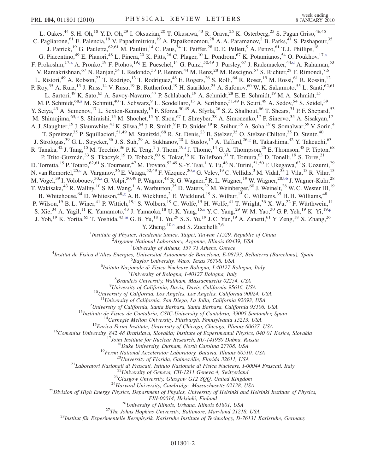<span id="page-4-8"></span><span id="page-4-7"></span><span id="page-4-6"></span><span id="page-4-5"></span><span id="page-4-4"></span><span id="page-4-3"></span><span id="page-4-2"></span><span id="page-4-1"></span><span id="page-4-0"></span>L. Oakes,<sup>44</sup> S. H. Oh,<sup>18</sup> Y. D. Oh,<sup>29</sup> I. Oksuzian,<sup>20</sup> T. Okusawa,<sup>43</sup> R. Orava,<sup>25</sup> K. Osterberg,<sup>25</sup> S. Pagan Griso,<sup>46,45</sup> C. Pagliarone, <sup>61</sup> E. Palencia, <sup>19</sup> V. Papadimitriou, <sup>19</sup> A. Papaikonomou, <sup>28</sup> A. A. Paramanov, <sup>2</sup> B. Parks, <sup>41</sup> S. Pashapour, <sup>35</sup> J. Patrick,<sup>19</sup> G. Pauletta,<sup>62,61</sup> M. Paulini,<sup>14</sup> C. Paus,<sup>34</sup> T. Peiffer,<sup>28</sup> D. E. Pellett,<sup>9</sup> A. Penzo,<sup>61</sup> T. J. Phillips,<sup>18</sup> G. Piacentino,<sup>49</sup> E. Pianori,<sup>48</sup> L. Pinera,<sup>20</sup> K. Pitts,<sup>26</sup> C. Plager,<sup>10</sup> L. Pondrom,<sup>67</sup> K. Potamianos,<sup>54</sup> O. Poukhov,<sup>17[,a](#page-9-20)</sup> F. Prokoshin, <sup>17[,z](#page-9-21)</sup> A. Pronko, <sup>19</sup> F. Ptohos, <sup>19,[j](#page-9-22)</sup> E. Pueschel, <sup>14</sup> G. Punzi, <sup>50,49</sup> J. Pursley, <sup>67</sup> J. Rademacker, <sup>44[,d](#page-9-10)</sup> A. Rahaman, <sup>53</sup> V. Ramakrishnan,<sup>67</sup> N. Ranjan,<sup>54</sup> I. Redondo,<sup>33</sup> P. Renton,<sup>44</sup> M. Renz,<sup>28</sup> M. Rescigno,<sup>57</sup> S. Richter,<sup>28</sup> F. Rimondi,<sup>7,6</sup> L. Ristori,<sup>49</sup> A. Robson,<sup>23</sup> T. Rodrigo,<sup>13</sup> T. Rodriguez,<sup>48</sup> E. Rogers,<sup>26</sup> S. Rolli,<sup>64</sup> R. Roser,<sup>19</sup> M. Rossi,<sup>61</sup> R. Rossin,<sup>12</sup> P. Roy,<sup>35</sup> A. Ruiz,<sup>13</sup> J. Russ,<sup>14</sup> V. Rusu,<sup>19</sup> B. Rutherford,<sup>19</sup> H. Saarikko,<sup>25</sup> A. Safonov,<sup>60</sup> W. K. Sakumoto,<sup>55</sup> L. Santi,<sup>62,61</sup> L. Sartori,<sup>49</sup> K. Sato,<sup>63</sup> A. Savoy-Navarro,<sup>47</sup> P. Schlabach,<sup>19</sup> A. Schmidt,<sup>28</sup> E. E. Schmidt,<sup>19</sup> M. A. Schmidt,<sup>15</sup> M. P. Schmidt,<sup>68[,a](#page-9-20)</sup> M. Schmitt,<sup>40</sup> T. Schwarz,<sup>9</sup> L. Scodellaro,<sup>13</sup> A. Scribano,<sup>51,49</sup> F. Scuri,<sup>49</sup> A. Sedov,<sup>54</sup> S. Seidel,<sup>39</sup> Y. Seiya,<sup>43</sup> A. Semenov,<sup>17</sup> L. Sexton-Kennedy,<sup>19</sup> F. Sforza,<sup>50,49</sup> A. Sfyrla,<sup>26</sup> S. Z. Shalhout,<sup>66</sup> T. Shears,<sup>31</sup> P. F. Shepard,<sup>53</sup> M. Shimojima,<s[u](#page-9-23)p>63,u</sup> S. Shiraishi,<sup>15</sup> M. Shochet,<sup>15</sup> Y. Shon,<sup>67</sup> I. Shreyber,<sup>38</sup> A. Simonenko,<sup>17</sup> P. Sinervo,<sup>35</sup> A. Sisakyan,<sup>17</sup> A. J. Slaughter,<sup>19</sup> J. Slaunwhite,<sup>41</sup> K. Sliwa,<sup>64</sup> J. R. Smith,<sup>9</sup> F. D. Snider,<sup>19</sup> R. Snihur,<sup>35</sup> A. Soha,<sup>19</sup> S. Somalwar,<sup>59</sup> V. Sorin,<sup>4</sup> T. Spreitzer,<sup>35</sup> P. Squillacioti,<sup>51,49</sup> M. Stanitzki,<sup>68</sup> R. St. Denis,<sup>23</sup> B. Stelzer,<sup>35</sup> O. Stelzer-Chilton,<sup>35</sup> D. Stentz,<sup>40</sup> J. Strolo[g](#page-9-7)as,<sup>39</sup> G. L. Strycker,<sup>36</sup> J. S. Suh,<sup>29</sup> A. Sukhanov,<sup>20</sup> I. Suslov,<sup>17</sup> A. Taffard,<sup>26,g</sup> R. Takashima,<sup>42</sup> Y. Takeuchi,<sup>63</sup> R. Tanaka,<sup>42</sup> J. Tang,<sup>15</sup> M. Tecchio,<sup>36</sup> P. K. Teng,<sup>1</sup> J. Thom,<sup>19[,i](#page-9-24)</sup> J. Thome,<sup>14</sup> G. A. Thompson,<sup>26</sup> E. Thomson,<sup>48</sup> P. Tipton,<sup>68</sup> P. Ttito-Guzmán,<sup>33</sup> S. Tkaczyk,<sup>19</sup> D. Toback,<sup>60</sup> S. Tokar,<sup>16</sup> K. Tollefson,<sup>37</sup> T. Tomura,<sup>63</sup> D. Tonelli,<sup>19</sup> S. Torre,<sup>21</sup> D. Torretta, <sup>19</sup> P. Totaro, <sup>62,61</sup> S. Tourneur, <sup>47</sup> M. Trovato, <sup>52,49</sup> S.-Y. Tsai, <sup>1</sup> Y. Tu, <sup>48</sup> N. Turini, <sup>51,50</sup> F. Ukegawa, <sup>63</sup> S. Uozumi, <sup>29</sup> N. van Remortel,<sup>25,[c](#page-9-25)</sup> A. Vargan[o](#page-9-4)v,<sup>36</sup> E. Vataga,<sup>52,49</sup> F. Vázquez,<sup>20,o</sup> G. Velev,<sup>19</sup> C. Vellidis,<sup>3</sup> M. Vidal,<sup>33</sup> I. Vila,<sup>13</sup> R. Vilar,<sup>13</sup> M. Vogel,<sup>39</sup> I. Volobouev,<sup>30,[x](#page-9-14)</sup> G. Volpi,<sup>50,49</sup> P. Wagner,<sup>48</sup> R. G. Wagner,<sup>2</sup> R. L. Wagner,<sup>19</sup> W. Wagner,<sup>28[,bb](#page-9-26)</sup> J. Wagner-Kuhr,<sup>28</sup> T. Wakisaka,<sup>43</sup> R. Wallny,<sup>10</sup> S. M. Wang,<sup>1</sup> A. Warburton,<sup>35</sup> D. Waters,<sup>32</sup> M. Weinberger,<sup>60</sup> J. Weinelt,<sup>28</sup> W. C. Wester III,<sup>19</sup> B. Whitehouse,  $^{64}$  D. Whiteson,  $^{48,g}$  $^{48,g}$  $^{48,g}$  A. B. Wicklund,  $^2$  E. Wicklund,  $^{19}$  S. Wilbur,  $^{15}$  G. Williams,  $^{35}$  H. H. Williams,  $^{48}$ P. Wilson,<sup>19</sup> B. L. Winer,<sup>41</sup> P. Wittich,<sup>19[,i](#page-9-24)</sup> S. Wolbers,<sup>19</sup> C. Wolfe,<sup>15</sup> H. Wolfe,<sup>41</sup> T. Wright,<sup>36</sup> X. Wu,<sup>22</sup> F. Würthwein,<sup>11</sup> S. Xie,<sup>34</sup> A. Yagil,<sup>11</sup> K. Yamamoto,<sup>43</sup> J. Yamaoka,<sup>18</sup> U.K. Yang,<sup>15[,s](#page-9-27)</sup> Y.C. Yang,<sup>29</sup> W.M. Yao,<sup>30</sup> G.P. Yeh,<sup>19</sup> K. Yi,<sup>19[,p](#page-9-6)</sup> J. Yoh,<sup>19</sup> K. Yorita,<sup>65</sup> T. Yoshida,<sup>43,[m](#page-9-28)</sup> G. B. Yu,<sup>18</sup> I. Yu,<sup>29</sup> S. S. Yu,<sup>19</sup> J. C. Yun,<sup>19</sup> A. Zanetti,<sup>61</sup> Y. Zeng,<sup>18</sup> X. Zhang,<sup>26</sup> Y. Zh[e](#page-9-29)ng,  $^{10,e}$  and S. Zucchelli<sup>7,6</sup> <sup>1</sup>Institute of Physics, Academia Sinica, Taipei, Taiwan 11529, Republic of China<br><sup>2</sup><sup>4</sup> Engange National Laboratory, Argonne, Illinois 60430, USA  $A$ rgonne National Laboratory, Argonne, Illinois 60439, USA<br> $3$ University of Athens, 157 71 Athens, Greece <sup>3</sup>University of Athens, 157 71 Athens, Greece<sup>3</sup> Theories *Lyniversity* of Athens, 157 71 Athens, Greece<sup>4</sup> Institut de Fisica d'Altes Energies, Universitat Autonoma de Barcelona, E-08193, Bellaterra (Barcelona), Spain <sup>5</sup> <sup>5</sup>Baylor University, Waco, Texas 76798, USA <sup>6</sup>Istituto Nazionale di Fisica Nucleare Bologna, I-40127 Bologna, Italy<br><sup>7</sup>University of Bologna, I-40127 Bologna, Italy University of Bologna, I-40127 Bologna, Italy  $^{8}$ Brandeis University Waltham Massachusetts 02254 <sup>8</sup> Brandeis University, Waltham, Massachusetts 02254, USA<br><sup>9</sup> University of California, Davis, California 95616, U <sup>9</sup>University of California, Davis, Davis, California 95616, USA<br><sup>10</sup>University of California, Los Angeles, Los Angeles, California 90024, USA<br><sup>11</sup>University of California, San Diego, La Jolla, California 92093, USA <sup>11</sup>University of California, San Diego, La Jolla, California 92093, USA<br><sup>12</sup>University of California, Santa Barbara, Santa Barbara, California 93106, USA<br><sup>13</sup>Institute de Fisica de Cantabria, CSIC-University of Cataloria FIN-00014, Helsinki, Finland<br><sup>26</sup>University of Illinois, Urbana, Illinois 61801, USA<sup>27</sup>The Johns Hopkins University, Baltimore, Maryland 21218, USA<sup>28</sup><br><sup>28</sup>Institut für Experimentelle Kernphysik, Karlsruhe Institute of Te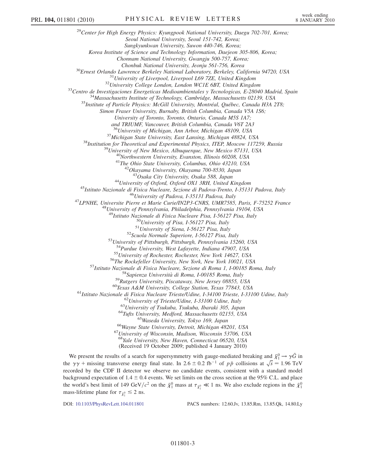<sup>29</sup>Center for High Energy Physics: Kyungpook National University, Daegu 702-701, Korea; Seoul National University, Seoul 151-742, Korea; Sungkyunkwan University, Suwon 440-746, Korea; Korea Institute of Science and Technology Information, Daejeon 305-806, Korea; Chonnam National University, Gwangju 500-757, Korea; <sup>30</sup>Ernest Orlando Lawrence Berkeley National Laboratory, Berkeley, California 94720, USA<br><sup>31</sup>University of Liverpool, Liverpool L69 7ZE, United Kingdom<br><sup>32</sup>University College London, London WCIE 6BT, United Kingdom<br><sup>32</sup>C Simon Fraser University, Burnaby, British Columbia, Canada V5A 1S6; University of Toronto, Toronto, Ontario, Canada M5S 1A7; and TRIUMF, Vancouver, British Columbia, Canada V6T 2A3 <sup>36</sup>University of Michigan, Ann Arbor, Michigan 48109, USA<br><sup>37</sup>Michigan State University, East Lansing, Michigan 48824, USA<br><sup>38</sup>Institution for Theoretical and Experimental Physics, ITEP, Moscow 117259, Russia<br><sup>39</sup>Univers <sup>44</sup>University of Oxford, Oxford OX1 3RH, United Kingdom<br><sup>45</sup>Istituto Nazionale di Fisica Nucleare, Sezione di Padova-Trento, I-35131 Padova, Italy<br><sup>46</sup>University of Padova, I-35131 Padova, Italy<br><sup>47</sup>LPNHE, Universite Pie <sup>49</sup>Istituto Nazionale di Fisica Nucleare Pisa, I-56127 Pisa, Italy<br><sup>50</sup>University of Pisa, I-56127 Pisa, Italy<br><sup>51</sup>University of Siena, I-56127 Pisa, Italy<br><sup>52</sup>Scuola Normale Superiore, I-56127 Pisa, Italy<br><sup>53</sup>University <sup>54</sup>Purdue University, West Lafayette, Indiana 47907, USA<br>
<sup>55</sup>University of Rochester, Rochester, New York 14627, USA<br>
<sup>55</sup>University of Rochester, Rochester, New York 14627, USA<br>
<sup>57</sup>Istituto Nazionale di Fisica Nuclear <sup>68</sup>Yale University, New Haven, Connecticut 06520, USA (Received 19 October 2009; published 4 January 2010)

We present the results of a search for supersymmetry with gauge-mediated breaking and  $\tilde{\chi}^0_1 \rightarrow \gamma \tilde{G}$  in<br>a  $2\alpha +$  missing transverse energy final state. In 2.6 + 0.2 fb<sup>-1</sup> of np collisions at  $\sqrt{s}$  = 1.96 TeV the  $\gamma \gamma$  + missing transverse energy final state. In 2.6 ± 0.2 fb<sup>-1</sup> of pp collisions at  $\sqrt{s}$  = 1.96 TeV recorded by the CDE II detector we observe no condidate events consistent with a standard model recorded by the CDF II detector we observe no candidate events, consistent with a standard model background expectation of  $1.4 \pm 0.4$  events. We set limits on the cross section at the 95% C.L. and place the world's best limit of 149 GeV/ $c^2$  on the  $\tilde{\chi}_1^0$  mass at  $\tau_{\tilde{\chi}_1^0} \ll 1$  ns. We also exclude regions in the  $\tilde{\chi}_1^0$  mass lifetime plane for  $\tau_{\tilde{\chi}_1^0} \ll 2$  ns. mass-lifetime plane for  $\tau_{\tilde{\chi}_1^0} \leq 2$  ns.

DOI: [10.1103/PhysRevLett.104.011801](http://dx.doi.org/10.1103/PhysRevLett.104.011801) PACS numbers: 12.60.Jv, 13.85.Rm, 13.85.Qk, 14.80.Ly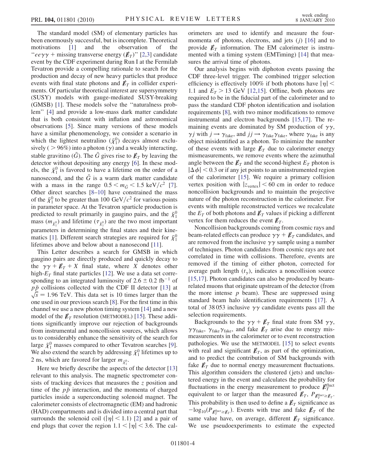The standard model (SM) of elementary particles has been enormously successful, but is incomplete. Theoretical motivations [[1](#page-9-30)] and the observation of the " $ee\gamma\gamma$  + missing transverse energy  $(E_T)$ " [[2](#page-9-31)[,3\]](#page-9-32) candidate event by the CDF experiment during Run I at the Fermilab Tevatron provide a compelling rationale to search for the production and decay of new heavy particles that produce events with final state photons and  $\not\hspace{-.15cm}/\,F_T$  in collider experiments. Of particular theoretical interest are supersymmetry (SUSY) models with gauge-mediated SUSY-breaking (GMSB) [[1](#page-9-30)]. These models solve the ''naturalness problem'' [[4\]](#page-9-33) and provide a low-mass dark matter candidate that is both consistent with inflation and astronomical observations [\[5](#page-9-34)]. Since many versions of these models have a similar phenomenology, we consider a scenario in which the lightest neutralino  $({\tilde{\chi}}_1^0)$  decays almost exclu-<br>sively ( $>96\%)$  into a photon (x) and a weakly interacting sively (  $> 96\%$ ) into a photon ( $\gamma$ ) and a weakly interacting,<br>stable graviting ( $\tilde{G}$ ). The  $\tilde{G}$  gives rise to  $\vec{k}$ , by leaving the stable gravitino (G). The G gives rise to  $\not\hspace{-.15cm}E_{\scriptscriptstyle T}$  by leaving the detector without depositing any energy [[6](#page-9-35)]. In these models, the  $\tilde{\chi}_1^0$  is favored to have a lifetime on the order of a<br>nanosecond, and the  $\tilde{G}$  is a warm dark matter condidate nanosecond, and the  $\tilde{G}$  is a warm dark matter candidate with a mass in the range  $0.5 \le m_{\tilde{G}} \le 1.5 \text{ keV}/c^2$  [[7\]](#page-9-36). Other direct searches [[8–](#page-9-37)[10](#page-9-38)] have constrained the mass of the  $\tilde{\chi}_1^0$  to be greater than 100 GeV/ $c^2$  for various points<br>in parameter space. At the Tevatron sparticle production is in parameter space. At the Tevatron sparticle production is predicted to result primarily in gaugino pairs, and the  $\tilde{\chi}^0_1$ mass  $(m_{\tilde{\chi}_1^0})$  and lifetime  $(\tau_{\tilde{\chi}_1^0})$  are the two most important parameters in determining the final states and their kine-matics [\[1\]](#page-9-30). Different search strategies are required for  $\tilde{\chi}^0_1$ lifetimes above and below about a nanosecond [\[11\]](#page-9-39).

This Letter describes a search for GMSB in which gaugino pairs are directly produced and quickly decay to the  $\gamma \gamma + \not{E}_T + X$  final state, where X denotes other high- $E_T$  final state particles [\[12\]](#page-9-40). We use a data set corresponding to an integrated luminosity of  $2.6 \pm 0.2$  fb<sup>-1</sup> of<br>  $n\bar{p}$  collisions collected with the CDE II detector [13] at  $p\bar{p}$  collisions collected with the CDF II detector [\[13\]](#page-9-41) at  $\sqrt{s} = 1.96$  TeV. This data set is 10 times larger than the one used in our previous search [8]. For the first time in this one used in our previous search [\[8\]](#page-9-37). For the first time in this channel we use a new photon timing system [\[14\]](#page-9-42) and a new model of the  $E_T$  resolution (METMODEL) [\[15\]](#page-9-43). These additions significantly improve our rejection of backgrounds from instrumental and noncollision sources, which allows us to considerably enhance the sensitivity of the search for large  $\tilde{\chi}_1^0$  masses compared to other Tevatron searches [[9\]](#page-9-44).<br>We also extend the search by addressing  $\tilde{\nu}^0$  lifetimes un to We also extend the search by addressing  $\tilde{\chi}_1^0$  lifetimes up to 2 ns, which are favored for larger  $m_{\nu 0}$ . 2 ns, which are favored for larger  $m_{\tilde{\chi}_1^0}$ .

Here we briefly describe the aspects of the detector [\[13\]](#page-9-41) relevant to this analysis. The magnetic spectrometer consists of tracking devices that measures the z position and time of the  $p\bar{p}$  interaction, and the momenta of charged particles inside a superconducting solenoid magnet. The calorimeter consists of electromagnetic (EM) and hadronic (HAD) compartments and is divided into a central part that surrounds the solenoid coil ( $|\eta|$  < 1.1) [\[2\]](#page-9-31) and a pair of end plugs that cover the region  $1.1 < |\eta| < 3.6$ . The calorimeters are used to identify and measure the fourmomenta of photons, electrons, and jets  $(j)$  [\[16\]](#page-9-45) and to provide  $E_T$  information. The EM calorimeter is instrumented with a timing system (EMTiming) [[14](#page-9-42)] that measures the arrival time of photons.

Our analysis begins with diphoton events passing the CDF three-level trigger. The combined trigger selection efficiency is effectively 100% if both photons have  $|\eta|$  < 1.1 and  $E_T > 13$  GeV [[12](#page-9-40),[15](#page-9-43)]. Offline, both photons are required to be in the fiducial part of the calorimeter and to pass the standard CDF photon identification and isolation requirements [\[8](#page-9-37)], with two minor modifications to remove instrumental and electron backgrounds [[15](#page-9-43),[17](#page-10-0)]. The remaining events are dominated by SM production of  $\gamma\gamma$ ,  $\gamma j$  with  $j \rightarrow \gamma_{\text{fake}}$ , and  $j j \rightarrow \gamma_{\text{fake}} \gamma_{\text{fake}}$ , where  $\gamma_{\text{fake}}$  is any object misidentified as a photon. To minimize the number object misidentified as a photon. To minimize the number of these events with large  $E_T$  due to calorimeter energy mismeasurements, we remove events where the azimuthal angle between the  $\not{\!\not\! E}_T$  and the second-highest  $E_T$  photon is  $|\Delta \varphi|$  < 0.3 or if any jet points to an uninstrumented region<br>of the calorimeter [\[15\]](#page-9-43). We require a primary collision  $|\Delta \phi|$  < 0.3 or if any jet points to an uninstrumented region vertex position with  $|z_{\text{vertex}}|$  < 60 cm in order to reduce noncollision backgrounds and to maintain the projective nature of the photon reconstruction in the calorimeter. For events with multiple reconstructed vertices we recalculate the  $E_T$  of both photons and  $\not{\!\mathit{E}}_T$  values if picking a different vertex for them reduces the event  $\not\hspace{-.15cm}/\,^r$ .

Noncollision backgrounds coming from cosmic rays and beam-related effects can produce  $\gamma \gamma + \not{E}_T$  candidates, and are removed from the inclusive  $\gamma\gamma$  sample using a number of techniques. Photon candidates from cosmic rays are not correlated in time with collisions. Therefore, events are removed if the timing of either photon, corrected for average path length  $(t_{\gamma})$ , indicates a noncollision source [\[15](#page-9-43)[,17\]](#page-10-0). Photon candidates can also be produced by beamrelated muons that originate upstream of the detector (from the more intense  $p$  beam). These are suppressed using standard beam halo identification requirements [[17](#page-10-0)]. A total of 38053 inclusive  $\gamma\gamma$  candidate events pass all the selection requirements.

Backgrounds to the  $\gamma \gamma + \cancel{E}_T$  final state from SM  $\gamma \gamma$ ,  $\gamma \gamma_{\text{fake}}$ ,  $\gamma_{\text{fake}}$ ,  $\gamma_{\text{fake}}$ , and fake  $\not{E}_T$  arise due to energy mismeasurements in the calorimeter or to event reconstruction pathologies. We use the METMODEL [\[15\]](#page-9-43) to select events with real and significant  $\not\hspace{-.15cm}/\,F$ , as part of the optimization, and to predict the contribution of SM backgrounds with fake  $E_T$  due to normal energy measurement fluctuations. This algorithm considers the clustered (jets) and unclustered energy in the event and calculates the probability for fluctuations in the energy measurement to produce  $\mathbb{Z}_T^{\text{fluct}}$ equivalent to or larger than the measured  $\not\hspace{-1.2mm}E_{T}$ ,  $P_{\cancel{E}_{T}^{\text{fluct}} \geq \cancel{E}_{T}}$ . This probability is then used to define a  $\not\hspace{-1.2mm}E_{T}$  significance as  $-\log_{10}(P_{\vec{F}_1^{\text{fluct}} \geq \vec{E}_T})$ . Events with true and fake  $\not{E}_T$  of the same value have, on average, different  $\not\hspace{-.15cm}/\,F$  significance. We use pseudoexperiments to estimate the expected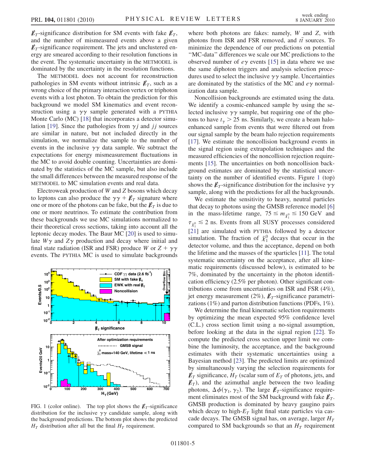$\n *E*<sub>T</sub>$ -significance distribution for SM events with fake  $\n *E*<sub>T</sub>,\n$ and the number of mismeasured events above a given  $\n *E*<sub>T</sub>$ -significance requirement. The jets and unclustered energy are smeared according to their resolution functions in the event. The systematic uncertainty in the METMODEL is dominated by the uncertainty in the resolution functions.

The METMODEL does not account for reconstruction pathologies in SM events without intrinsic  $E_T$ , such as a wrong choice of the primary interaction vertex or triphoton events with a lost photon. To obtain the prediction for this background we model SM kinematics and event reconstruction using a  $\gamma\gamma$  sample generated with a PYTHIA Monte Carlo (MC) [\[18\]](#page-10-1) that incorporates a detector simu-lation [[19](#page-10-2)]. Since the pathologies from  $\gamma j$  and  $jj$  sources are similar in nature, but not included directly in the simulation, we normalize the sample to the number of events in the inclusive  $\gamma\gamma$  data sample. We subtract the expectations for energy mismeasurement fluctuations in the MC to avoid double counting. Uncertainties are dominated by the statistics of the MC sample, but also include the small differences between the measured response of the METMODEL to MC simulation events and real data.

Electroweak production of W and Z bosons which decay to leptons can also produce the  $\gamma \gamma + \not{E}_T$  signature where one or more of the photons can be fake, but the  $\not\!\!\!E_T$  is due to one or more neutrinos. To estimate the contribution from these backgrounds we use MC simulations normalized to their theoretical cross sections, taking into account all the leptonic decay modes. The Baur MC [[20](#page-10-3)] is used to simulate  $W\gamma$  and  $Z\gamma$  production and decay where initial and final state radiation (ISR and FSR) produce W or  $Z + \gamma \gamma$ events. The PYTHIA MC is used to simulate backgrounds

<span id="page-7-0"></span>

FIG. 1 (color online). The top plot shows the  $\not\!\vec{E}_T$ -significance distribution for the inclusive  $\gamma\gamma$  candidate sample, along with the background predictions. The bottom plot shows the predicted  $H_T$  distribution after all but the final  $H_T$  requirement.

where both photons are fakes: namely, W and Z, with photons from ISR and FSR removed, and  $t\bar{t}$  sources. To minimize the dependence of our predictions on potential minimize the dependence of our predictions on potential ''MC-data'' differences we scale our MC predictions to the observed number of  $e\gamma$  events [\[15\]](#page-9-43) in data where we use the same diphoton triggers and analysis selection procedures used to select the inclusive  $\gamma\gamma$  sample. Uncertainties are dominated by the statistics of the MC and  $e\gamma$  normalization data sample.

Noncollision backgrounds are estimated using the data. We identify a cosmic-enhanced sample by using the selected inclusive  $\gamma\gamma$  sample, but requiring one of the photons to have  $t_{\gamma} > 25$  ns. Similarly, we create a beam halo-<br>enhanced sample from events that were filtered out from enhanced sample from events that were filtered out from our signal sample by the beam halo rejection requirements [\[17\]](#page-10-0). We estimate the noncollision background events in the signal region using extrapolation techniques and the measured efficiencies of the noncollision rejection requirements [\[15\]](#page-9-43). The uncertainties on both noncollision background estimates are dominated by the statistical uncertainty on the number of identified events. Figure [1](#page-7-0) (top) shows the  $\not\hspace{-1.2mm}E_T$ -significance distribution for the inclusive  $\gamma\gamma$ sample, along with the predictions for all the backgrounds.

We estimate the sensitivity to heavy, neutral particles that decay to photons using the GMSB reference model [\[6\]](#page-9-35) in the mass-lifetime range,  $75 \le m_{\tilde{\chi}_{1}^{0}} \le 150 \text{ GeV}$  and  $\tau_{\tilde{\chi}_1^0} \lesssim 2$  ns. Events from all SUSY processes considered<br>[21] and simulated with NEW 6-Harved has a detector [\[21\]](#page-10-4) are simulated with PYTHIA followed by a detector simulation. The fraction of  $\tilde{\chi}_1^0$  decays that occur in the detector volume and thus the acceptance depend on both detector volume, and thus the acceptance, depend on both the lifetime and the masses of the sparticles [\[11\]](#page-9-39). The total systematic uncertainty on the acceptance, after all kinematic requirements (discussed below), is estimated to be 7%, dominated by the uncertainty in the photon identification efficiency (2.5% per photon). Other significant contributions come from uncertainties on ISR and FSR (4%), jet energy measurement (2%),  $\not\mathbb{E}_T$ -significance parametrizations (1%) and parton distribution functions (PDFs, 1%).

We determine the final kinematic selection requirements by optimizing the mean expected 95% confidence level (C.L.) cross section limit using a no-signal assumption, before looking at the data in the signal region [\[22\]](#page-10-5). To compute the predicted cross section upper limit we combine the luminosity, the acceptance, and the background estimates with their systematic uncertainties using a Bayesian method [\[23\]](#page-10-6). The predicted limits are optimized by simultaneously varying the selection requirements for  $\not\hspace{-1.2mm}E_{T}$  significance,  $H_T$  (scalar sum of  $E_T$  of photons, jets, and  $\n *E*<sub>T</sub>$ ), and the azimuthal angle between the two leading photons,  $\Delta \phi(\gamma_1, \gamma_2)$ . The large  $E_T$ -significance require-<br>ment eliminates most of the SM background with fake  $E_T$ ment eliminates most of the SM background with fake  $\not\hspace{-.15cm}/_{T}$ . GMSB production is dominated by heavy gaugino pairs which decay to high- $E_T$  light final state particles via cascade decays. The GMSB signal has, on average, larger  $H_T$ compared to SM backgrounds so that an  $H_T$  requirement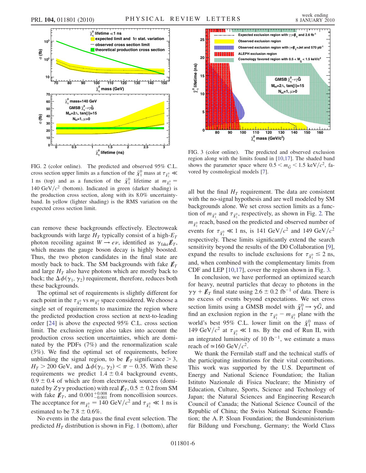

<span id="page-8-0"></span>

FIG. 2 (color online). The predicted and observed 95% C.L. cross section upper limits as a function of the  $\tilde{\chi}_1^0$  mass at  $\tau_{\tilde{\chi}_1^0} \ll 1$  mass at  $\tau_{\tilde{\chi}_1^0}$ 1 ns (top) and as a function of the  $\tilde{\chi}_1^0$  lifetime at  $m_{\tilde{\chi}_1^0} =$ <br>140 CeV/ $\chi_1^0$  (better). Indicated in groom (deglige shading) is 140 GeV/ $c^2$  (bottom). Indicated in green (darker shading) is the production cross section, along with its 8.0% uncertaintyband. In yellow (lighter shading) is the RMS variation on the expected cross section limit.

can remove these backgrounds effectively. Electroweak backgrounds with large  $H_T$  typically consist of a high- $E_T$ photon recoiling against  $W \to e\nu$ , identified as  $\gamma_{\text{fake}} E_T$ , which means the gauge boson decay is highly boosted which means the gauge boson decay is highly boosted. Thus, the two photon candidates in the final state are mostly back to back. The SM backgrounds with fake  $E_T$ and large  $H_T$  also have photons which are mostly back to back; the  $\Delta \phi(\gamma_1, \gamma_2)$  requirement, therefore, reduces both these backgrounds these backgrounds.

The optimal set of requirements is slightly different for each point in the  $\tau_{\bar{\chi}_1^0}$  vs  $m_{\bar{\chi}_1^0}$  space considered. We choose a single set of requirements to maximize the region where the predicted production cross section at next-to-leading order [\[24\]](#page-10-7) is above the expected 95% C.L. cross section limit. The exclusion region also takes into account the production cross section uncertainties, which are dominated by the PDFs (7%) and the renormalization scale (3%). We find the optimal set of requirements, before unblinding the signal region, to be  $\not\!\!\!E_T$  significance  $> 3$ ,  $H_T > 200$  GeV, and  $\Delta \phi(\gamma_1, \gamma_2) < \pi - 0.35$ . With these requirements we predict  $1.4 \pm 0.4$  background events requirements we predict  $1.4 \pm 0.4$  background events,  $0.9 \pm 0.4$  of which are from electroweak sources (dominated by  $Z\gamma\gamma$  $\gamma$  production) with real  $\not\hspace{-1.2mm}E_T$ , 0.5  $\pm$  0.2 from SM<br> $_{\odot}$  and 0.001<sup>+0.008</sup> from noncollision sources with fake  $\mathbf{E}_T$ , and 0.001<sup>+0.008</sup> from noncollision sources.<br>The acceptance for  $m_s = 140 \text{ GeV}/c^2$  and  $\tau_s \ll 1$  us is The acceptance for  $m_{\tilde{\chi}_1^0} = 140 \text{ GeV}/c^2$  and  $\tau_{\tilde{\chi}_1^0} \ll 1$  ns is estimated to be 7.8  $\pm$  0.6%.

No events in the data pass the final event selection. The predicted  $H_T$  distribution is shown in Fig. [1](#page-7-0) (bottom), after

<span id="page-8-1"></span>

FIG. 3 (color online). The predicted and observed exclusion region along with the limits found in [\[10](#page-9-38)[,17\]](#page-10-0). The shaded band shows the parameter space where  $0.5 < m_{\tilde{G}} < 1.5 \text{ keV}/c^2$ , favored by cosmological models [\[7\]](#page-9-36).

all but the final  $H_T$  requirement. The data are consistent with the no-signal hypothesis and are well modeled by SM backgrounds alone. We set cross section limits as a function of  $m_{\tilde{\chi}_1^0}$  and  $\tau_{\tilde{\chi}_1^0}$ , respectively, as shown in Fig. [2.](#page-8-0) The  $m_{\tilde{\chi}_1^0}$  reach, based on the predicted and observed number of events for  $\tau_{\tilde{\chi}_1^0} \ll 1$  ns, is 141 GeV/ $c^2$  and 149 GeV/ $c^2$ respectively. These limits significantly extend the search sensitivity beyond the results of the D0 Collaboration [[9\]](#page-9-44), expand the results to include exclusions for  $\tau_{\bar{\chi}_1^0} \le 2$  ns, and, when combined with the complementary limits from CDF and LEP [\[10,](#page-9-38)[17\]](#page-10-0), cover the region shown in Fig. [3.](#page-8-1)

In conclusion, we have performed an optimized search for heavy, neutral particles that decay to photons in the  $\gamma \gamma + \not{E}_T$  final state using 2.6  $\pm$  0.2 fb<sup>-1</sup> of data. There is<br>no excess of events beyond expectations. We set cross no excess of events beyond expectations. We set cross section limits using a GMSB model with  $\tilde{\chi}_1^0 \rightarrow \gamma \tilde{G}$ , and<br>find an exclusion region in the  $\tau_{\text{c}} = m_{\text{c}}$  plane with the find an exclusion region in the  $\tau_{\tilde{\chi}_1^0} - m_{\tilde{\chi}_1^0}$  plane with the world's best 95% C.L. lower limit on the  $\tilde{\chi}_1^0$  mass of 149 GeV/ $c^2$  at  $\tau_{1.0} \ll 1$  ns. By the end of Run II with 149 GeV/ $c^2$  at  $\tau_{\bar{X}_1^0} \ll 1$  ns. By the end of Run II, with an integrated luminosity of 10 fb<sup>-1</sup>, we estimate a mass<br>reach of  $\approx 160 \text{ GeV}/c^2$ reach of  $\simeq$  160 GeV/ $c^2$ .

We thank the Fermilab staff and the technical staffs of the participating institutions for their vital contributions. This work was supported by the U.S. Department of Energy and National Science Foundation; the Italian Istituto Nazionale di Fisica Nucleare; the Ministry of Education, Culture, Sports, Science and Technology of Japan; the Natural Sciences and Engineering Research Council of Canada; the National Science Council of the Republic of China; the Swiss National Science Foundation; the A. P. Sloan Foundation; the Bundesministerium für Bildung und Forschung, Germany; the World Class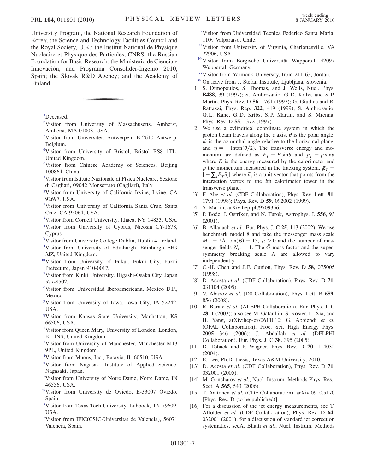University Program, the National Research Foundation of Korea; the Science and Technology Facilities Council and the Royal Society, U.K.; the Institut National de Physique Nucleaire et Physique des Particules, CNRS; the Russian Foundation for Basic Research; the Ministerio de Ciencia e Innovación, and Programa Consolider-Ingenio 2010, Spain; the Slovak R&D Agency; and the Academy of Finland.

<span id="page-9-20"></span><span id="page-9-2"></span>[a](#page-4-0) Deceased.

- <span id="page-9-25"></span>[b](#page-3-0)Visitor from University of Massachusetts, Amherst, Amherst, MA 01003, USA.
- <span id="page-9-10"></span>[c](#page-4-1) Visitor from Universiteit Antwerpen, B-2610 Antwerp, Belgium.
- <span id="page-9-29"></span>[d](#page-3-1) Visitor from University of Bristol, Bristol BS8 1TL, United Kingdom.
- <span id="page-9-15"></span>[e](#page-4-2) Visitor from Chinese Academy of Sciences, Beijing 100864, China.
- <span id="page-9-7"></span>[f](#page-3-2) Visitor from Istituto Nazionale di Fisica Nucleare, Sezione di Cagliari, 09042 Monserrato (Cagliari), Italy.
- <span id="page-9-19"></span>[g](#page-3-3) Visitor from University of California Irvine, Irvine, CA 92697, USA.
- <span id="page-9-24"></span>[h](#page-3-4) Visitor from University of California Santa Cruz, Santa Cruz, CA 95064, USA.
- <span id="page-9-22"></span>[i](#page-4-3) Visitor from Cornell University, Ithaca, NY 14853, USA.
- <span id="page-9-17"></span>[j](#page-4-4) Visitor from University of Cyprus, Nicosia CY-1678, Cyprus.
- <span id="page-9-16"></span>[k](#page-3-5) Visitor from University College Dublin, Dublin 4, Ireland. <sup>1</sup>Visitor from University of Edinburgh, Edinburgh EH9
- <span id="page-9-28"></span>3JZ, United Kingdom. [mV](#page-4-5)isitor from University of Fukui, Fukui City, Fukui
- <span id="page-9-12"></span>Prefecture, Japan 910-0017.
- <span id="page-9-4"></span>[n](#page-3-7) Visitor from Kinki University, Higashi-Osaka City, Japan 577-8502.
- <span id="page-9-6"></span><sup>[o](#page-3-8)</sup>Visitor from Universidad Iberoamericana, Mexico D.F., Mexico.
- <span id="page-9-11"></span>[p](#page-3-9) Visitor from University of Iowa, Iowa City, IA 52242, USA.
- <span id="page-9-5"></span><sup>[q](#page-3-10)</sup>Visitor from Kansas State University, Manhattan, KS 66506, USA.
- <span id="page-9-27"></span>[r](#page-3-11) Visitor from Queen Mary, University of London, London, E1 4NS, United Kingdom.
- <span id="page-9-9"></span>[s](#page-4-6) Visitor from University of Manchester, Manchester M13 9PL, United Kingdom.
- <span id="page-9-23"></span>[t](#page-3-12) Visitor from Muons, Inc., Batavia, IL 60510, USA.
- <span id="page-9-13"></span><s[u](#page-4-7)p>u</sup>Visitor from Nagasaki Institute of Applied Science, Nagasaki, Japan.
- <span id="page-9-0"></span>[v](#page-3-13) Visitor from University of Notre Dame, Notre Dame, IN 46556, USA.
- <span id="page-9-14"></span>[wV](#page-3-14)isitor from University de Oviedo, E-33007 Oviedo, Spain.
- <span id="page-9-3"></span>[x](#page-3-15) Visitor from Texas Tech University, Lubbock, TX 79609, USA.
- [y](#page-3-16) Visitor from IFIC(CSIC-Universitat de Valencia), 56071 Valencia, Spain.

<span id="page-9-21"></span><sup>[z](#page-4-4)</sup>Visitor from Universidad Tecnica Federico Santa Maria, 110v Valparaiso, Chile.

- <span id="page-9-18"></span>[aaV](#page-3-4)isitor from University of Virginia, Charlottesville, VA 22906, USA.
- <span id="page-9-26"></span>[bbV](#page-4-8)isitor from Bergische Universität Wuppertal, 42097 Wuppertal, Germany.
- <span id="page-9-8"></span>[ccV](#page-3-17)isitor from Yarmouk University, Irbid 211-63, Jordan.
- [ddO](#page-3-18)n leave from J. Stefan Institute, Ljubljana, Slovenia.
- <span id="page-9-30"></span><span id="page-9-1"></span>[1] S. Dimopoulos, S. Thomas, and J. Wells, Nucl. Phys. B488, 39 (1997); S. Ambrosanio, G. D. Kribs, and S. P. Martin, Phys. Rev. D 56, 1761 (1997); G. Giudice and R. Rattazzi, Phys. Rep. 322, 419 (1999); S. Ambrosanio, G. L. Kane, G. D. Kribs, S. P. Martin, and S. Mrenna, Phys. Rev. D 55, 1372 (1997).
- <span id="page-9-31"></span>[2] We use a cylindrical coordinate system in which the proton beam travels along the z axis,  $\theta$  is the polar angle,  $\phi$  is the azimuthal angle relative to the horizontal plane, and  $\eta = -\text{Intan}(\theta/2)$ . The transverse energy and mo-<br>mentum are defined as  $F_{\alpha} = F \sin \theta$  and  $n_{\alpha} = n \sin \theta$ mentum are defined as  $E_T = E \sin \theta$  and  $p_T = p \sin \theta$ where  $E$  is the energy measured by the calorimeter and p the momentum measured in the tracking system.  $\not\hspace{-.15cm}/\,^{\mathcal{F}}$  =  $\vert -\sum_{i} E_T^i \vec{n}_i \vert$  where  $\vec{n}_i$  is a unit vector that points from the interaction vertex to the ith calorimeter tower in the transverse plane.
- <span id="page-9-32"></span>[3] F. Abe et al. (CDF Collaboration), Phys. Rev. Lett. 81, 1791 (1998); Phys. Rev. D 59, 092002 (1999).
- <span id="page-9-34"></span><span id="page-9-33"></span>[4] S. Martin, arXiv:hep-ph/9709356.
- [5] P. Bode, J. Ostriker, and N. Turok, Astrophys. J. 556, 93 (2001).
- <span id="page-9-35"></span>[6] B. Allanach et al., Eur. Phys. J. C 25, 113 (2002). We use benchmark model 8 and take the messenger mass scale  $M_m = 2\Lambda$ ,  $\tan(\beta) = 15$ ,  $\mu > 0$  and the number of mes-<br>senger fields  $N_{\text{max}} = 1$ . The  $\tilde{G}$  mass factor and the supersenger fields  $N_m = 1$ . The  $\tilde{G}$  mass factor and the supersymmetry breaking scale  $\Lambda$  are allowed to vary independently.
- <span id="page-9-36"></span>[7] C.-H. Chen and J.F. Gunion, Phys. Rev. D 58, 075005 (1998).
- <span id="page-9-37"></span>[8] D. Acosta et al. (CDF Collaboration), Phys. Rev. D 71, 031104 (2005).
- <span id="page-9-44"></span>[9] V. Abazov et al. (D0 Collaboration), Phys. Lett. B 659, 856 (2008).
- <span id="page-9-38"></span>[10] R. Barate et al. (ALEPH Collaboration), Eur. Phys. J. C. 28, 1 (2003); also see M. Gataullin, S. Rosier, L. Xia, and H. Yang, arXiv:hep-ex/0611010; G. Abbiendi et al. (OPAL Collaboration), Proc. Sci. High Energy Phys. 2005 346 (2006); J. Abdallah et al. (DELPHI Collaboration), Eur. Phys. J. C 38, 395 (2005).
- <span id="page-9-39"></span>[11] D. Toback and P. Wagner, Phys. Rev. D 70, 114032 (2004).
- <span id="page-9-41"></span><span id="page-9-40"></span>[12] E. Lee, Ph.D. thesis, Texas A&M University, 2010.
- [13] D. Acosta et al. (CDF Collaboration), Phys. Rev. D 71, 032001 (2005).
- <span id="page-9-42"></span>[14] M. Goncharov et al., Nucl. Instrum. Methods Phys. Res., Sect. A 565, 543 (2006).
- <span id="page-9-43"></span>[15] T. Aaltonen et al. (CDF Collaboration), arXiv:0910.5170 [Phys. Rev. D (to be published)].
- <span id="page-9-45"></span>[16] For a discussion of the jet energy measurements, see T. Affolder et al. (CDF Collaboration), Phys. Rev. D 64, 032001 (2001); for a discussion of standard jet correction systematics, seeA. Bhatti et al., Nucl. Instrum. Methods